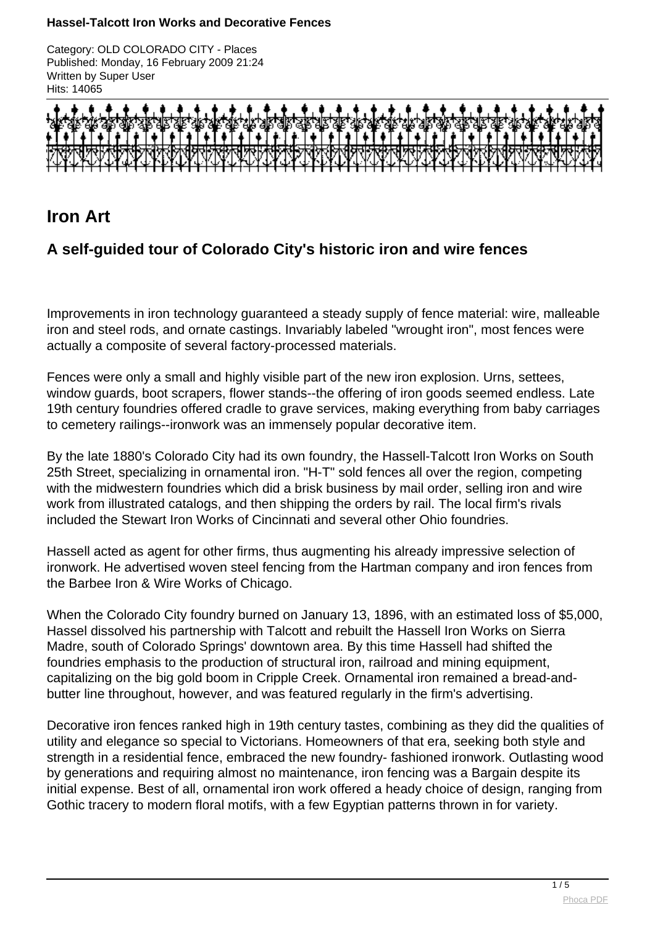Category: OLD COLORADO CITY - Places Published: Monday, 16 February 2009 21:24 Written by Super User Hits: 14065



# **Iron Art**

## **A self-guided tour of Colorado City's historic iron and wire fences**

Improvements in iron technology guaranteed a steady supply of fence material: wire, malleable iron and steel rods, and ornate castings. Invariably labeled "wrought iron", most fences were actually a composite of several factory-processed materials.

Fences were only a small and highly visible part of the new iron explosion. Urns, settees, window guards, boot scrapers, flower stands--the offering of iron goods seemed endless. Late 19th century foundries offered cradle to grave services, making everything from baby carriages to cemetery railings--ironwork was an immensely popular decorative item.

By the late 1880's Colorado City had its own foundry, the Hassell-Talcott Iron Works on South 25th Street, specializing in ornamental iron. "H-T" sold fences all over the region, competing with the midwestern foundries which did a brisk business by mail order, selling iron and wire work from illustrated catalogs, and then shipping the orders by rail. The local firm's rivals included the Stewart Iron Works of Cincinnati and several other Ohio foundries.

Hassell acted as agent for other firms, thus augmenting his already impressive selection of ironwork. He advertised woven steel fencing from the Hartman company and iron fences from the Barbee Iron & Wire Works of Chicago.

When the Colorado City foundry burned on January 13, 1896, with an estimated loss of \$5,000, Hassel dissolved his partnership with Talcott and rebuilt the Hassell Iron Works on Sierra Madre, south of Colorado Springs' downtown area. By this time Hassell had shifted the foundries emphasis to the production of structural iron, railroad and mining equipment, capitalizing on the big gold boom in Cripple Creek. Ornamental iron remained a bread-andbutter line throughout, however, and was featured regularly in the firm's advertising.

Decorative iron fences ranked high in 19th century tastes, combining as they did the qualities of utility and elegance so special to Victorians. Homeowners of that era, seeking both style and strength in a residential fence, embraced the new foundry- fashioned ironwork. Outlasting wood by generations and requiring almost no maintenance, iron fencing was a Bargain despite its initial expense. Best of all, ornamental iron work offered a heady choice of design, ranging from Gothic tracery to modern floral motifs, with a few Egyptian patterns thrown in for variety.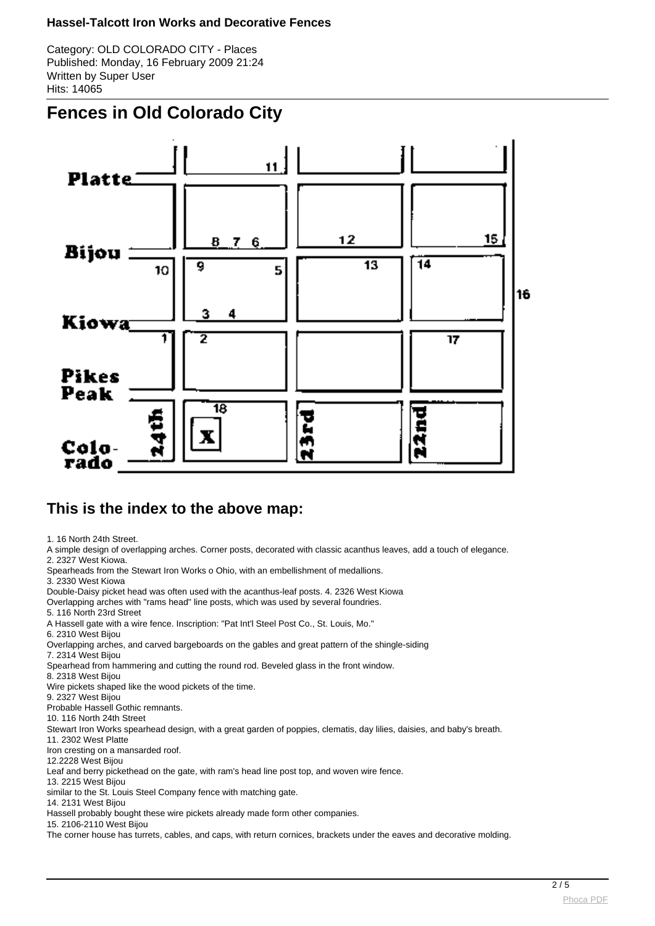Category: OLD COLORADO CITY - Places Published: Monday, 16 February 2009 21:24 Written by Super User Hits: 14065

# **Fences in Old Colorado City**



### **This is the index to the above map:**

1. 16 North 24th Street.

A simple design of overlapping arches. Corner posts, decorated with classic acanthus leaves, add a touch of elegance.

2. 2327 West Kiowa.

Spearheads from the Stewart Iron Works o Ohio, with an embellishment of medallions.

3. 2330 West Kiowa

Double-Daisy picket head was often used with the acanthus-leaf posts. 4. 2326 West Kiowa

Overlapping arches with "rams head" line posts, which was used by several foundries.

5. 116 North 23rd Street

A Hassell gate with a wire fence. Inscription: "Pat Int'l Steel Post Co., St. Louis, Mo."

6. 2310 West Bijou

Overlapping arches, and carved bargeboards on the gables and great pattern of the shingle-siding 7. 2314 West Bijou

Spearhead from hammering and cutting the round rod. Beveled glass in the front window.

8. 2318 West Bijou

Wire pickets shaped like the wood pickets of the time.

9. 2327 West Bijou

Probable Hassell Gothic remnants.

10. 116 North 24th Street

Stewart Iron Works spearhead design, with a great garden of poppies, clematis, day lilies, daisies, and baby's breath.

11. 2302 West Platte

Iron cresting on a mansarded roof.

12.2228 West Bijou

Leaf and berry pickethead on the gate, with ram's head line post top, and woven wire fence.

13. 2215 West Bijou

similar to the St. Louis Steel Company fence with matching gate.

14. 2131 West Bijou

Hassell probably bought these wire pickets already made form other companies.

15. 2106-2110 West Bijou

The corner house has turrets, cables, and caps, with return cornices, brackets under the eaves and decorative molding.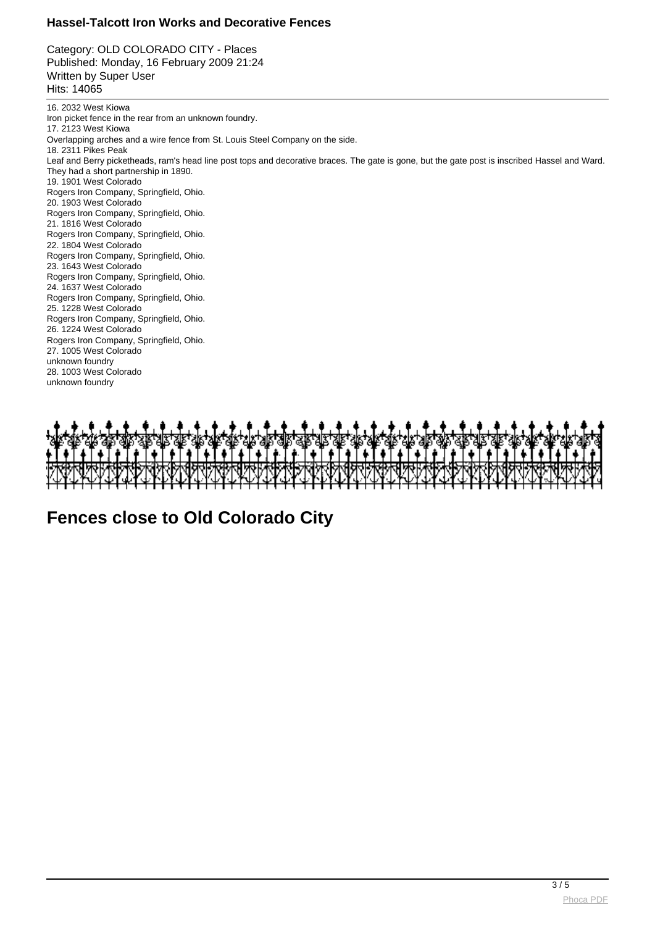Category: OLD COLORADO CITY - Places Published: Monday, 16 February 2009 21:24 Written by Super User Hits: 14065

16. 2032 West Kiowa Iron picket fence in the rear from an unknown foundry. 17. 2123 West Kiowa Overlapping arches and a wire fence from St. Louis Steel Company on the side. 18. 2311 Pikes Peak Leaf and Berry picketheads, ram's head line post tops and decorative braces. The gate is gone, but the gate post is inscribed Hassel and Ward. They had a short partnership in 1890. 19. 1901 West Colorado Rogers Iron Company, Springfield, Ohio. 20. 1903 West Colorado Rogers Iron Company, Springfield, Ohio. 21. 1816 West Colorado Rogers Iron Company, Springfield, Ohio. 22. 1804 West Colorado Rogers Iron Company, Springfield, Ohio. 23. 1643 West Colorado Rogers Iron Company, Springfield, Ohio. 24. 1637 West Colorado Rogers Iron Company, Springfield, Ohio. 25. 1228 West Colorado Rogers Iron Company, Springfield, Ohio. 26. 1224 West Colorado Rogers Iron Company, Springfield, Ohio. 27. 1005 West Colorado unknown foundry 28. 1003 West Colorado unknown foundry



**Fences close to Old Colorado City**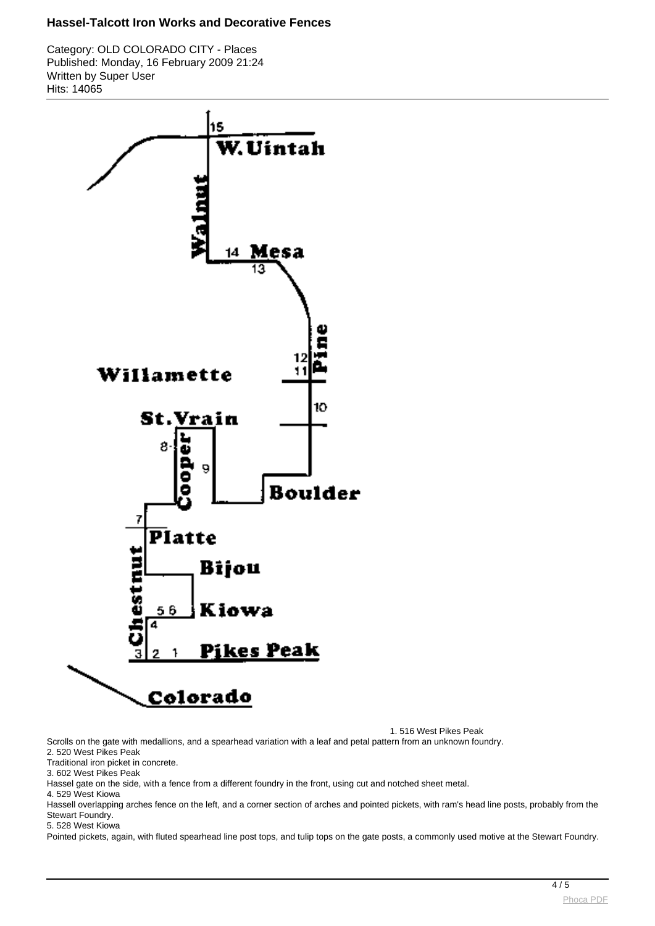Category: OLD COLORADO CITY - Places Published: Monday, 16 February 2009 21:24 Written by Super User Hits: 14065



1. 516 West Pikes Peak

Scrolls on the gate with medallions, and a spearhead variation with a leaf and petal pattern from an unknown foundry.

2. 520 West Pikes Peak

Traditional iron picket in concrete.

3. 602 West Pikes Peak

Hassel gate on the side, with a fence from a different foundry in the front, using cut and notched sheet metal.

4. 529 West Kiowa

Hassell overlapping arches fence on the left, and a corner section of arches and pointed pickets, with ram's head line posts, probably from the Stewart Foundry.

5. 528 West Kiowa

Pointed pickets, again, with fluted spearhead line post tops, and tulip tops on the gate posts, a commonly used motive at the Stewart Foundry.